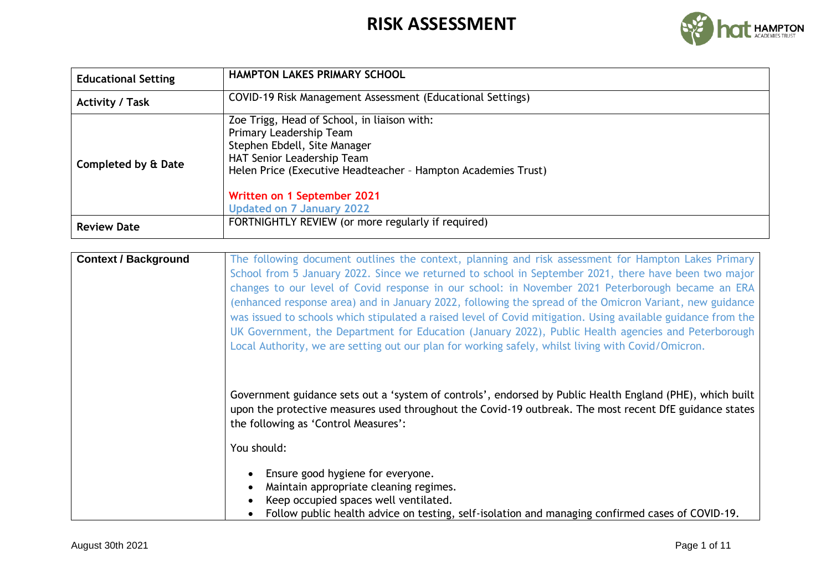

| <b>Educational Setting</b>                                                           | <b>HAMPTON LAKES PRIMARY SCHOOL</b>                                                                                                                                                                                                                                      |  |  |  |
|--------------------------------------------------------------------------------------|--------------------------------------------------------------------------------------------------------------------------------------------------------------------------------------------------------------------------------------------------------------------------|--|--|--|
| COVID-19 Risk Management Assessment (Educational Settings)<br><b>Activity / Task</b> |                                                                                                                                                                                                                                                                          |  |  |  |
| Completed by & Date                                                                  | Zoe Trigg, Head of School, in liaison with:<br>Primary Leadership Team<br>Stephen Ebdell, Site Manager<br>HAT Senior Leadership Team<br>Helen Price (Executive Headteacher - Hampton Academies Trust)<br>Written on 1 September 2021<br><b>Updated on 7 January 2022</b> |  |  |  |
| <b>Review Date</b>                                                                   | FORTNIGHTLY REVIEW (or more regularly if required)                                                                                                                                                                                                                       |  |  |  |

| <b>Context / Background</b> | The following document outlines the context, planning and risk assessment for Hampton Lakes Primary<br>School from 5 January 2022. Since we returned to school in September 2021, there have been two major<br>changes to our level of Covid response in our school: in November 2021 Peterborough became an ERA<br>(enhanced response area) and in January 2022, following the spread of the Omicron Variant, new guidance<br>was issued to schools which stipulated a raised level of Covid mitigation. Using available guidance from the<br>UK Government, the Department for Education (January 2022), Public Health agencies and Peterborough<br>Local Authority, we are setting out our plan for working safely, whilst living with Covid/Omicron. |
|-----------------------------|----------------------------------------------------------------------------------------------------------------------------------------------------------------------------------------------------------------------------------------------------------------------------------------------------------------------------------------------------------------------------------------------------------------------------------------------------------------------------------------------------------------------------------------------------------------------------------------------------------------------------------------------------------------------------------------------------------------------------------------------------------|
|                             | Government guidance sets out a 'system of controls', endorsed by Public Health England (PHE), which built<br>upon the protective measures used throughout the Covid-19 outbreak. The most recent DfE guidance states<br>the following as 'Control Measures':<br>You should:                                                                                                                                                                                                                                                                                                                                                                                                                                                                              |
|                             | Ensure good hygiene for everyone.<br>Maintain appropriate cleaning regimes.<br>Keep occupied spaces well ventilated.<br>Follow public health advice on testing, self-isolation and managing confirmed cases of COVID-19.                                                                                                                                                                                                                                                                                                                                                                                                                                                                                                                                 |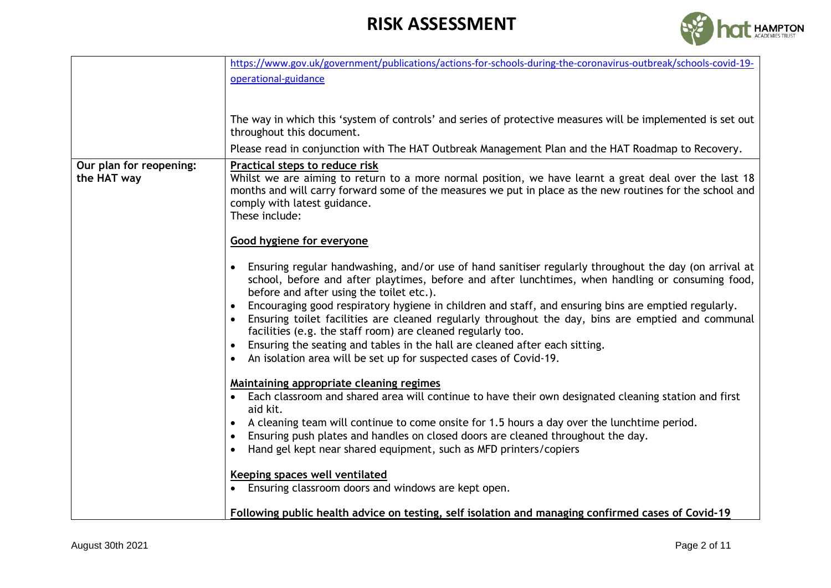

|                         | https://www.gov.uk/government/publications/actions-for-schools-during-the-coronavirus-outbreak/schools-covid-19-                                                                                                                                                                                                                                                                                                                                                                                                                                                                                                                                                                                                                             |
|-------------------------|----------------------------------------------------------------------------------------------------------------------------------------------------------------------------------------------------------------------------------------------------------------------------------------------------------------------------------------------------------------------------------------------------------------------------------------------------------------------------------------------------------------------------------------------------------------------------------------------------------------------------------------------------------------------------------------------------------------------------------------------|
|                         | operational-guidance                                                                                                                                                                                                                                                                                                                                                                                                                                                                                                                                                                                                                                                                                                                         |
|                         |                                                                                                                                                                                                                                                                                                                                                                                                                                                                                                                                                                                                                                                                                                                                              |
|                         |                                                                                                                                                                                                                                                                                                                                                                                                                                                                                                                                                                                                                                                                                                                                              |
|                         | The way in which this 'system of controls' and series of protective measures will be implemented is set out                                                                                                                                                                                                                                                                                                                                                                                                                                                                                                                                                                                                                                  |
|                         | throughout this document.                                                                                                                                                                                                                                                                                                                                                                                                                                                                                                                                                                                                                                                                                                                    |
|                         | Please read in conjunction with The HAT Outbreak Management Plan and the HAT Roadmap to Recovery.                                                                                                                                                                                                                                                                                                                                                                                                                                                                                                                                                                                                                                            |
| Our plan for reopening: | Practical steps to reduce risk                                                                                                                                                                                                                                                                                                                                                                                                                                                                                                                                                                                                                                                                                                               |
| the HAT way             | Whilst we are aiming to return to a more normal position, we have learnt a great deal over the last 18<br>months and will carry forward some of the measures we put in place as the new routines for the school and<br>comply with latest guidance.<br>These include:                                                                                                                                                                                                                                                                                                                                                                                                                                                                        |
|                         | <b>Good hygiene for everyone</b>                                                                                                                                                                                                                                                                                                                                                                                                                                                                                                                                                                                                                                                                                                             |
|                         | Ensuring regular handwashing, and/or use of hand sanitiser regularly throughout the day (on arrival at<br>$\bullet$<br>school, before and after playtimes, before and after lunchtimes, when handling or consuming food,<br>before and after using the toilet etc.).<br>Encouraging good respiratory hygiene in children and staff, and ensuring bins are emptied regularly.<br>$\bullet$<br>Ensuring toilet facilities are cleaned regularly throughout the day, bins are emptied and communal<br>$\bullet$<br>facilities (e.g. the staff room) are cleaned regularly too.<br>Ensuring the seating and tables in the hall are cleaned after each sitting.<br>An isolation area will be set up for suspected cases of Covid-19.<br>$\bullet$ |
|                         | Maintaining appropriate cleaning regimes<br>Each classroom and shared area will continue to have their own designated cleaning station and first<br>aid kit.<br>A cleaning team will continue to come onsite for 1.5 hours a day over the lunchtime period.<br>$\bullet$<br>Ensuring push plates and handles on closed doors are cleaned throughout the day.<br>$\bullet$<br>Hand gel kept near shared equipment, such as MFD printers/copiers<br>$\bullet$<br>Keeping spaces well ventilated<br>Ensuring classroom doors and windows are kept open.                                                                                                                                                                                         |
|                         | Following public health advice on testing, self isolation and managing confirmed cases of Covid-19                                                                                                                                                                                                                                                                                                                                                                                                                                                                                                                                                                                                                                           |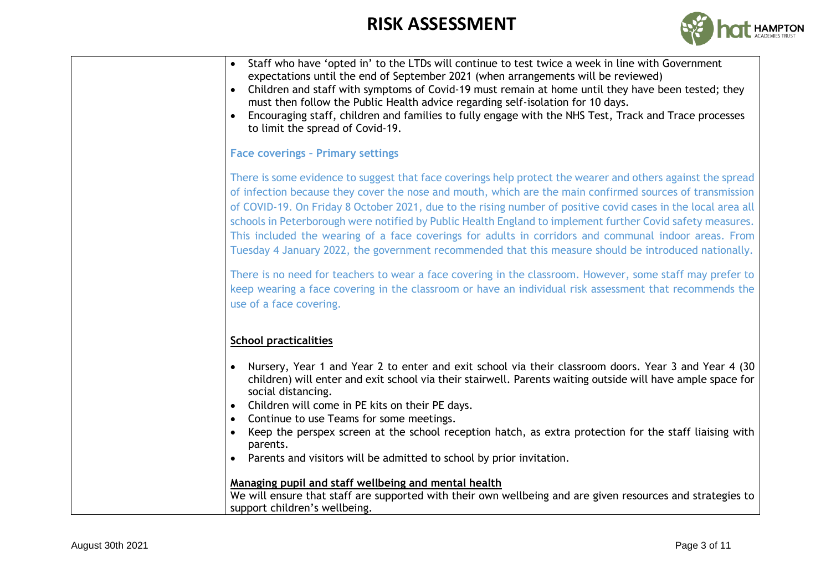

| Staff who have 'opted in' to the LTDs will continue to test twice a week in line with Government<br>expectations until the end of September 2021 (when arrangements will be reviewed)<br>Children and staff with symptoms of Covid-19 must remain at home until they have been tested; they<br>must then follow the Public Health advice regarding self-isolation for 10 days.<br>Encouraging staff, children and families to fully engage with the NHS Test, Track and Trace processes<br>to limit the spread of Covid-19.                                                                                                                                              |
|--------------------------------------------------------------------------------------------------------------------------------------------------------------------------------------------------------------------------------------------------------------------------------------------------------------------------------------------------------------------------------------------------------------------------------------------------------------------------------------------------------------------------------------------------------------------------------------------------------------------------------------------------------------------------|
| <b>Face coverings - Primary settings</b>                                                                                                                                                                                                                                                                                                                                                                                                                                                                                                                                                                                                                                 |
| There is some evidence to suggest that face coverings help protect the wearer and others against the spread<br>of infection because they cover the nose and mouth, which are the main confirmed sources of transmission<br>of COVID-19. On Friday 8 October 2021, due to the rising number of positive covid cases in the local area all<br>schools in Peterborough were notified by Public Health England to implement further Covid safety measures.<br>This included the wearing of a face coverings for adults in corridors and communal indoor areas. From<br>Tuesday 4 January 2022, the government recommended that this measure should be introduced nationally. |
| There is no need for teachers to wear a face covering in the classroom. However, some staff may prefer to<br>keep wearing a face covering in the classroom or have an individual risk assessment that recommends the<br>use of a face covering.                                                                                                                                                                                                                                                                                                                                                                                                                          |
| <b>School practicalities</b>                                                                                                                                                                                                                                                                                                                                                                                                                                                                                                                                                                                                                                             |
| Nursery, Year 1 and Year 2 to enter and exit school via their classroom doors. Year 3 and Year 4 (30<br>children) will enter and exit school via their stairwell. Parents waiting outside will have ample space for<br>social distancing.<br>Children will come in PE kits on their PE days.<br>Continue to use Teams for some meetings.<br>Keep the perspex screen at the school reception hatch, as extra protection for the staff liaising with<br>parents.<br>Parents and visitors will be admitted to school by prior invitation.                                                                                                                                   |
| Managing pupil and staff wellbeing and mental health<br>We will ensure that staff are supported with their own wellbeing and are given resources and strategies to<br>support children's wellbeing.                                                                                                                                                                                                                                                                                                                                                                                                                                                                      |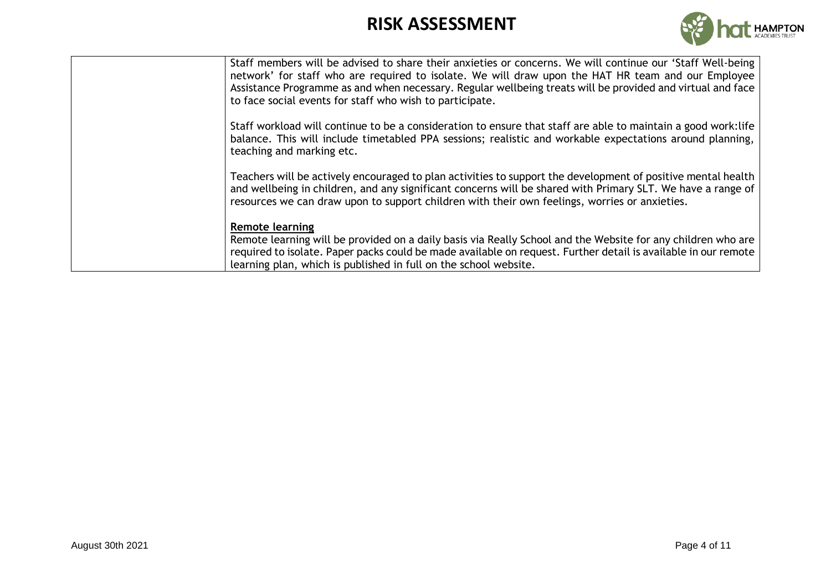

| Staff members will be advised to share their anxieties or concerns. We will continue our 'Staff Well-being<br>network' for staff who are required to isolate. We will draw upon the HAT HR team and our Employee<br>Assistance Programme as and when necessary. Regular wellbeing treats will be provided and virtual and face<br>to face social events for staff who wish to participate. |
|--------------------------------------------------------------------------------------------------------------------------------------------------------------------------------------------------------------------------------------------------------------------------------------------------------------------------------------------------------------------------------------------|
| Staff workload will continue to be a consideration to ensure that staff are able to maintain a good work: life<br>balance. This will include timetabled PPA sessions; realistic and workable expectations around planning,<br>teaching and marking etc.                                                                                                                                    |
| Teachers will be actively encouraged to plan activities to support the development of positive mental health<br>and wellbeing in children, and any significant concerns will be shared with Primary SLT. We have a range of<br>resources we can draw upon to support children with their own feelings, worries or anxieties.                                                               |
| Remote learning<br>Remote learning will be provided on a daily basis via Really School and the Website for any children who are<br>required to isolate. Paper packs could be made available on request. Further detail is available in our remote<br>learning plan, which is published in full on the school website.                                                                      |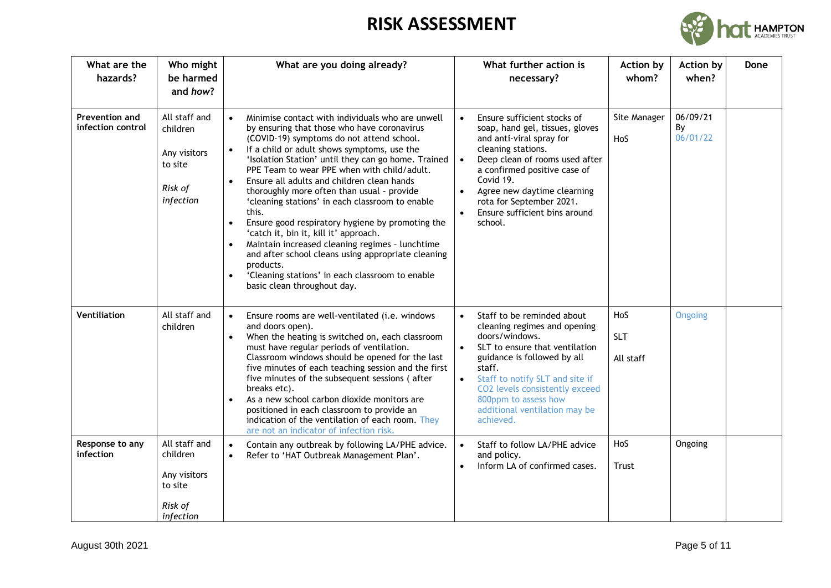

| What are the<br>hazards?            | Who might<br>be harmed<br>and how?                                           | What are you doing already?                                                                                                                                                                                                                                                                                                                                                                                                                                                                                                                                                                                                                                                                                                                                                                                                     | What further action is<br>necessary?                                                                                                                                                                                                                                                                                                          | <b>Action by</b><br>whom?      | <b>Action by</b><br>when?  | Done |
|-------------------------------------|------------------------------------------------------------------------------|---------------------------------------------------------------------------------------------------------------------------------------------------------------------------------------------------------------------------------------------------------------------------------------------------------------------------------------------------------------------------------------------------------------------------------------------------------------------------------------------------------------------------------------------------------------------------------------------------------------------------------------------------------------------------------------------------------------------------------------------------------------------------------------------------------------------------------|-----------------------------------------------------------------------------------------------------------------------------------------------------------------------------------------------------------------------------------------------------------------------------------------------------------------------------------------------|--------------------------------|----------------------------|------|
| Prevention and<br>infection control | All staff and<br>children<br>Any visitors<br>to site<br>Risk of<br>infection | Minimise contact with individuals who are unwell<br>$\bullet$<br>by ensuring that those who have coronavirus<br>(COVID-19) symptoms do not attend school.<br>If a child or adult shows symptoms, use the<br>$\bullet$<br>'Isolation Station' until they can go home. Trained<br>PPE Team to wear PPE when with child/adult.<br>Ensure all adults and children clean hands<br>$\bullet$<br>thoroughly more often than usual - provide<br>'cleaning stations' in each classroom to enable<br>this.<br>Ensure good respiratory hygiene by promoting the<br>$\bullet$<br>'catch it, bin it, kill it' approach.<br>Maintain increased cleaning regimes - lunchtime<br>and after school cleans using appropriate cleaning<br>products.<br>'Cleaning stations' in each classroom to enable<br>$\bullet$<br>basic clean throughout day. | Ensure sufficient stocks of<br>$\bullet$<br>soap, hand gel, tissues, gloves<br>and anti-viral spray for<br>cleaning stations.<br>Deep clean of rooms used after<br>$\bullet$<br>a confirmed positive case of<br>Covid 19.<br>Agree new daytime clearning<br>$\bullet$<br>rota for September 2021.<br>Ensure sufficient bins around<br>school. | Site Manager<br>HoS            | 06/09/21<br>By<br>06/01/22 |      |
| Ventiliation                        | All staff and<br>children                                                    | Ensure rooms are well-ventilated (i.e. windows<br>$\bullet$<br>and doors open).<br>When the heating is switched on, each classroom<br>$\bullet$<br>must have regular periods of ventilation.<br>Classroom windows should be opened for the last<br>five minutes of each teaching session and the first<br>five minutes of the subsequent sessions (after<br>breaks etc).<br>As a new school carbon dioxide monitors are<br>$\bullet$<br>positioned in each classroom to provide an<br>indication of the ventilation of each room. They<br>are not an indicator of infection risk.                                                                                                                                                                                                                                               | Staff to be reminded about<br>$\bullet$<br>cleaning regimes and opening<br>doors/windows.<br>SLT to ensure that ventilation<br>$\bullet$<br>guidance is followed by all<br>staff.<br>Staff to notify SLT and site if<br>CO2 levels consistently exceed<br>800ppm to assess how<br>additional ventilation may be<br>achieved.                  | HoS<br><b>SLT</b><br>All staff | Ongoing                    |      |
| Response to any<br>infection        | All staff and<br>children<br>Any visitors<br>to site<br>Risk of<br>infection | Contain any outbreak by following LA/PHE advice.<br>$\bullet$<br>Refer to 'HAT Outbreak Management Plan'.<br>$\bullet$                                                                                                                                                                                                                                                                                                                                                                                                                                                                                                                                                                                                                                                                                                          | Staff to follow LA/PHE advice<br>$\bullet$<br>and policy.<br>Inform LA of confirmed cases.                                                                                                                                                                                                                                                    | HoS<br>Trust                   | Ongoing                    |      |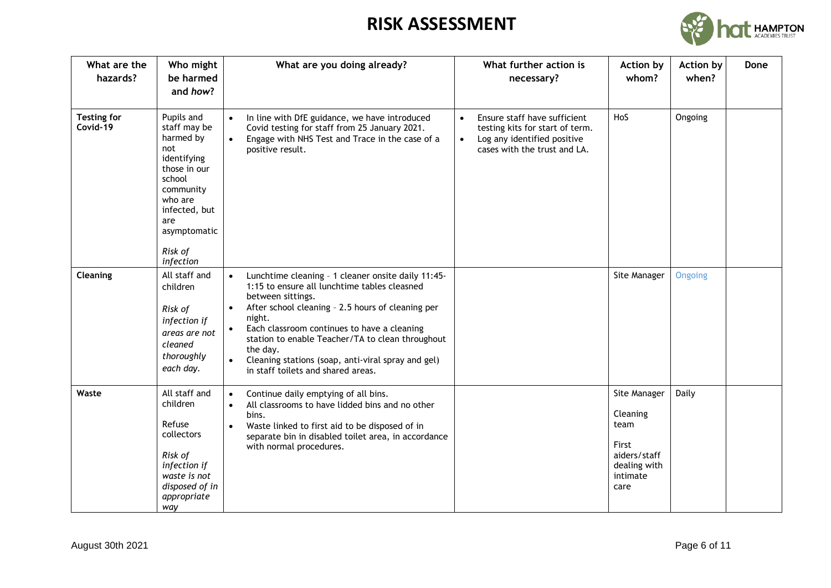

| What are the<br>hazards?       | Who might<br>be harmed<br>and how?                                                                                                                                              | What are you doing already?                                                                                                                                                                                                                                                                                                                                                                                                 | What further action is<br>necessary?                                                                                                                     | <b>Action by</b><br>whom?                                                                     | <b>Action by</b><br>when? | Done |
|--------------------------------|---------------------------------------------------------------------------------------------------------------------------------------------------------------------------------|-----------------------------------------------------------------------------------------------------------------------------------------------------------------------------------------------------------------------------------------------------------------------------------------------------------------------------------------------------------------------------------------------------------------------------|----------------------------------------------------------------------------------------------------------------------------------------------------------|-----------------------------------------------------------------------------------------------|---------------------------|------|
| <b>Testing for</b><br>Covid-19 | Pupils and<br>staff may be<br>harmed by<br>not<br>identifying<br>those in our<br>school<br>community<br>who are<br>infected, but<br>are<br>asymptomatic<br>Risk of<br>infection | In line with DfE guidance, we have introduced<br>$\bullet$<br>Covid testing for staff from 25 January 2021.<br>Engage with NHS Test and Trace in the case of a<br>$\bullet$<br>positive result.                                                                                                                                                                                                                             | Ensure staff have sufficient<br>$\bullet$<br>testing kits for start of term.<br>Log any identified positive<br>$\bullet$<br>cases with the trust and LA. | HoS                                                                                           | Ongoing                   |      |
| Cleaning                       | All staff and<br>children<br>Risk of<br>infection if<br>areas are not<br>cleaned<br>thoroughly<br>each day.                                                                     | Lunchtime cleaning - 1 cleaner onsite daily 11:45-<br>$\bullet$<br>1:15 to ensure all lunchtime tables cleasned<br>between sittings.<br>After school cleaning - 2.5 hours of cleaning per<br>$\bullet$<br>night.<br>Each classroom continues to have a cleaning<br>station to enable Teacher/TA to clean throughout<br>the day.<br>Cleaning stations (soap, anti-viral spray and gel)<br>in staff toilets and shared areas. |                                                                                                                                                          | Site Manager                                                                                  | Ongoing                   |      |
| Waste                          | All staff and<br>children<br>Refuse<br>collectors<br>Risk of<br>infection if<br>waste is not<br>disposed of in<br>appropriate<br>way                                            | Continue daily emptying of all bins.<br>$\bullet$<br>All classrooms to have lidded bins and no other<br>$\bullet$<br>bins.<br>Waste linked to first aid to be disposed of in<br>$\bullet$<br>separate bin in disabled toilet area, in accordance<br>with normal procedures.                                                                                                                                                 |                                                                                                                                                          | Site Manager<br>Cleaning<br>team<br>First<br>aiders/staff<br>dealing with<br>intimate<br>care | Daily                     |      |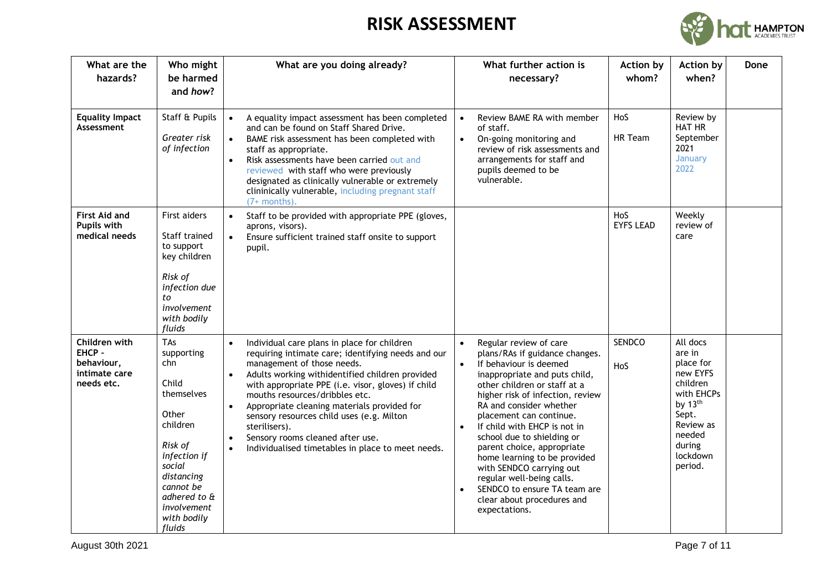

| What are the<br>hazards?                                             | Who might<br>be harmed<br>and how?                                                                                                                                                           | What are you doing already?                                                                                                                                                                                                                                                                                                                                                                                                                                                                                                                       | What further action is<br>necessary?                                                                                                                                                                                                                                                                                                                                                                                                                                                                                                        | <b>Action by</b><br>whom? | <b>Action by</b><br>when?                                                                                                                         | Done |
|----------------------------------------------------------------------|----------------------------------------------------------------------------------------------------------------------------------------------------------------------------------------------|---------------------------------------------------------------------------------------------------------------------------------------------------------------------------------------------------------------------------------------------------------------------------------------------------------------------------------------------------------------------------------------------------------------------------------------------------------------------------------------------------------------------------------------------------|---------------------------------------------------------------------------------------------------------------------------------------------------------------------------------------------------------------------------------------------------------------------------------------------------------------------------------------------------------------------------------------------------------------------------------------------------------------------------------------------------------------------------------------------|---------------------------|---------------------------------------------------------------------------------------------------------------------------------------------------|------|
| <b>Equality Impact</b><br>Assessment                                 | Staff & Pupils<br>Greater risk<br>of infection                                                                                                                                               | A equality impact assessment has been completed<br>$\bullet$<br>and can be found on Staff Shared Drive.<br>BAME risk assessment has been completed with<br>$\bullet$<br>staff as appropriate.<br>Risk assessments have been carried out and<br>$\bullet$<br>reviewed with staff who were previously<br>designated as clinically vulnerable or extremely<br>clininically vulnerable, including pregnant staff<br>$(7+$ months).                                                                                                                    | Review BAME RA with member<br>$\bullet$<br>of staff.<br>On-going monitoring and<br>$\bullet$<br>review of risk assessments and<br>arrangements for staff and<br>pupils deemed to be<br>vulnerable.                                                                                                                                                                                                                                                                                                                                          | HoS<br>HR Team            | Review by<br><b>HAT HR</b><br>September<br>2021<br>January<br>2022                                                                                |      |
| <b>First Aid and</b><br>Pupils with<br>medical needs                 | First aiders<br>Staff trained<br>to support<br>key children<br>Risk of<br>infection due<br>to<br>involvement<br>with bodily<br>fluids                                                        | Staff to be provided with appropriate PPE (gloves,<br>$\bullet$<br>aprons, visors).<br>Ensure sufficient trained staff onsite to support<br>$\bullet$<br>pupil.                                                                                                                                                                                                                                                                                                                                                                                   |                                                                                                                                                                                                                                                                                                                                                                                                                                                                                                                                             | HoS<br><b>EYFS LEAD</b>   | Weekly<br>review of<br>care                                                                                                                       |      |
| Children with<br>EHCP -<br>behaviour,<br>intimate care<br>needs etc. | TAs<br>supporting<br>chn<br>Child<br>themselves<br>Other<br>children<br>Risk of<br>infection if<br>social<br>distancing<br>cannot be<br>adhered to &<br>involvement<br>with bodily<br>fluids | Individual care plans in place for children<br>$\bullet$<br>requiring intimate care; identifying needs and our<br>management of those needs.<br>Adults working withidentified children provided<br>$\bullet$<br>with appropriate PPE (i.e. visor, gloves) if child<br>mouths resources/dribbles etc.<br>Appropriate cleaning materials provided for<br>$\bullet$<br>sensory resources child uses (e.g. Milton<br>sterilisers).<br>Sensory rooms cleaned after use.<br>$\bullet$<br>Individualised timetables in place to meet needs.<br>$\bullet$ | Regular review of care<br>$\bullet$<br>plans/RAs if guidance changes.<br>If behaviour is deemed<br>$\bullet$<br>inappropriate and puts child,<br>other children or staff at a<br>higher risk of infection, review<br>RA and consider whether<br>placement can continue.<br>If child with EHCP is not in<br>school due to shielding or<br>parent choice, appropriate<br>home learning to be provided<br>with SENDCO carrying out<br>regular well-being calls.<br>SENDCO to ensure TA team are<br>clear about procedures and<br>expectations. | <b>SENDCO</b><br>HoS      | All docs<br>are in<br>place for<br>new EYFS<br>children<br>with EHCPs<br>by 13th<br>Sept.<br>Review as<br>needed<br>during<br>lockdown<br>period. |      |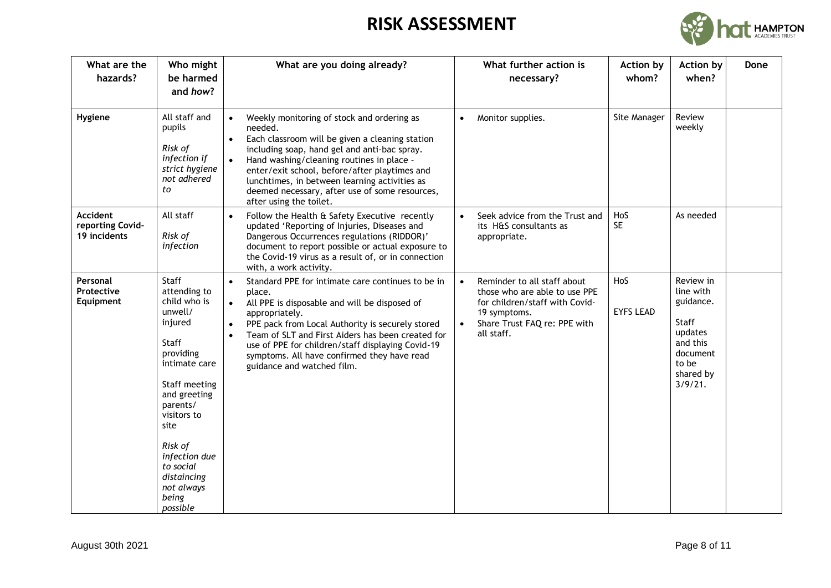

| What are the<br>hazards?                            | Who might<br>be harmed<br>and how?                                                                                                                                                                                                                                | What are you doing already?                                                                                                                                                                                                                                                                                                                                                                                                   | What further action is<br>necessary?                                                                                                                                                   | Action by<br>whom?      | Action by<br>Done<br>when?                                                                                       |  |
|-----------------------------------------------------|-------------------------------------------------------------------------------------------------------------------------------------------------------------------------------------------------------------------------------------------------------------------|-------------------------------------------------------------------------------------------------------------------------------------------------------------------------------------------------------------------------------------------------------------------------------------------------------------------------------------------------------------------------------------------------------------------------------|----------------------------------------------------------------------------------------------------------------------------------------------------------------------------------------|-------------------------|------------------------------------------------------------------------------------------------------------------|--|
| Hygiene                                             | All staff and<br>pupils<br>Risk of<br>infection if<br>strict hygiene<br>not adhered<br>to                                                                                                                                                                         | Weekly monitoring of stock and ordering as<br>$\bullet$<br>needed.<br>Each classroom will be given a cleaning station<br>$\bullet$<br>including soap, hand gel and anti-bac spray.<br>Hand washing/cleaning routines in place -<br>$\bullet$<br>enter/exit school, before/after playtimes and<br>lunchtimes, in between learning activities as<br>deemed necessary, after use of some resources,<br>after using the toilet.   | Monitor supplies.                                                                                                                                                                      | Site Manager            | Review<br>weekly                                                                                                 |  |
| <b>Accident</b><br>reporting Covid-<br>19 incidents | All staff<br>Risk of<br>infection                                                                                                                                                                                                                                 | Follow the Health & Safety Executive recently<br>$\bullet$<br>updated 'Reporting of Injuries, Diseases and<br>Dangerous Occurrences regulations (RIDDOR)'<br>document to report possible or actual exposure to<br>the Covid-19 virus as a result of, or in connection<br>with, a work activity.                                                                                                                               | Seek advice from the Trust and<br>its H&S consultants as<br>appropriate.                                                                                                               | HoS<br><b>SE</b>        | As needed                                                                                                        |  |
| Personal<br>Protective<br>Equipment                 | Staff<br>attending to<br>child who is<br>unwell/<br>injured<br>Staff<br>providing<br>intimate care<br>Staff meeting<br>and greeting<br>parents/<br>visitors to<br>site<br>Risk of<br>infection due<br>to social<br>distaincing<br>not always<br>being<br>possible | Standard PPE for intimate care continues to be in<br>$\bullet$<br>place.<br>All PPE is disposable and will be disposed of<br>$\bullet$<br>appropriately.<br>PPE pack from Local Authority is securely stored<br>$\bullet$<br>Team of SLT and First Aiders has been created for<br>$\bullet$<br>use of PPE for children/staff displaying Covid-19<br>symptoms. All have confirmed they have read<br>guidance and watched film. | Reminder to all staff about<br>$\bullet$<br>those who are able to use PPE<br>for children/staff with Covid-<br>19 symptoms.<br>Share Trust FAQ re: PPE with<br>$\bullet$<br>all staff. | HoS<br><b>EYFS LEAD</b> | Review in<br>line with<br>guidance.<br>Staff<br>updates<br>and this<br>document<br>to be<br>shared by<br>3/9/21. |  |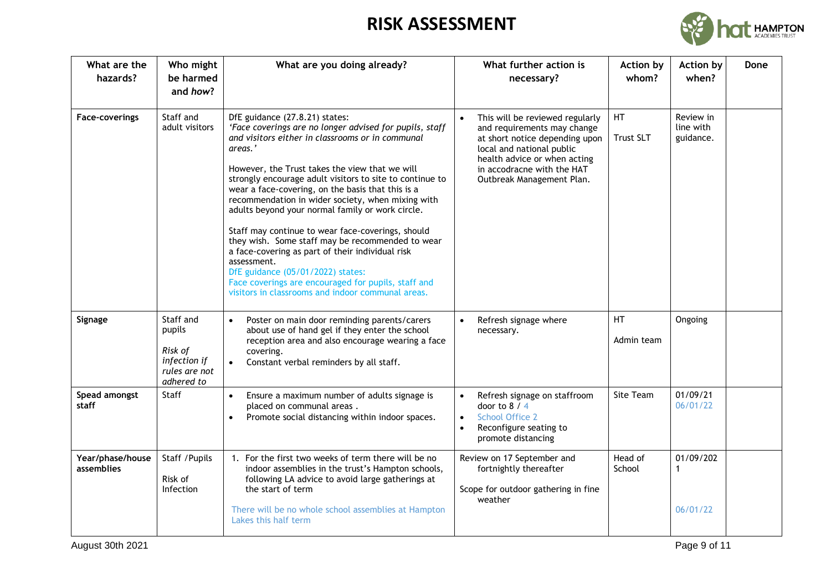

| What are the<br>hazards?       | Who might<br>be harmed<br>and how?                                            | What are you doing already?                                                                                                                                                                                                                                                                                                                                                                                                                                                                                                                                                                                                                                                                                                                                       | What further action is<br>necessary?                                                                                                                                                                                     | <b>Action by</b><br>whom? | Action by<br>when?                  | Done |
|--------------------------------|-------------------------------------------------------------------------------|-------------------------------------------------------------------------------------------------------------------------------------------------------------------------------------------------------------------------------------------------------------------------------------------------------------------------------------------------------------------------------------------------------------------------------------------------------------------------------------------------------------------------------------------------------------------------------------------------------------------------------------------------------------------------------------------------------------------------------------------------------------------|--------------------------------------------------------------------------------------------------------------------------------------------------------------------------------------------------------------------------|---------------------------|-------------------------------------|------|
| <b>Face-coverings</b>          | Staff and<br>adult visitors                                                   | DfE guidance (27.8.21) states:<br>'Face coverings are no longer advised for pupils, staff<br>and visitors either in classrooms or in communal<br>areas.'<br>However, the Trust takes the view that we will<br>strongly encourage adult visitors to site to continue to<br>wear a face-covering, on the basis that this is a<br>recommendation in wider society, when mixing with<br>adults beyond your normal family or work circle.<br>Staff may continue to wear face-coverings, should<br>they wish. Some staff may be recommended to wear<br>a face-covering as part of their individual risk<br>assessment.<br>DfE guidance (05/01/2022) states:<br>Face coverings are encouraged for pupils, staff and<br>visitors in classrooms and indoor communal areas. | This will be reviewed regularly<br>and requirements may change<br>at short notice depending upon<br>local and national public<br>health advice or when acting<br>in accodracne with the HAT<br>Outbreak Management Plan. | HT<br>Trust SLT           | Review in<br>line with<br>guidance. |      |
| Signage                        | Staff and<br>pupils<br>Risk of<br>infection if<br>rules are not<br>adhered to | Poster on main door reminding parents/carers<br>$\bullet$<br>about use of hand gel if they enter the school<br>reception area and also encourage wearing a face<br>covering.<br>Constant verbal reminders by all staff.                                                                                                                                                                                                                                                                                                                                                                                                                                                                                                                                           | Refresh signage where<br>necessary.                                                                                                                                                                                      | <b>HT</b><br>Admin team   | Ongoing                             |      |
| Spead amongst<br>staff         | Staff                                                                         | Ensure a maximum number of adults signage is<br>$\bullet$<br>placed on communal areas.<br>Promote social distancing within indoor spaces.<br>$\bullet$                                                                                                                                                                                                                                                                                                                                                                                                                                                                                                                                                                                                            | Refresh signage on staffroom<br>$\bullet$<br>door to $8/4$<br><b>School Office 2</b><br>$\bullet$<br>Reconfigure seating to<br>$\bullet$<br>promote distancing                                                           | Site Team                 | 01/09/21<br>06/01/22                |      |
| Year/phase/house<br>assemblies | Staff / Pupils<br>Risk of<br><b>Infection</b>                                 | 1. For the first two weeks of term there will be no<br>indoor assemblies in the trust's Hampton schools,<br>following LA advice to avoid large gatherings at<br>the start of term<br>There will be no whole school assemblies at Hampton<br>Lakes this half term                                                                                                                                                                                                                                                                                                                                                                                                                                                                                                  | Review on 17 September and<br>fortnightly thereafter<br>Scope for outdoor gathering in fine<br>weather                                                                                                                   | Head of<br>School         | 01/09/202<br>1<br>06/01/22          |      |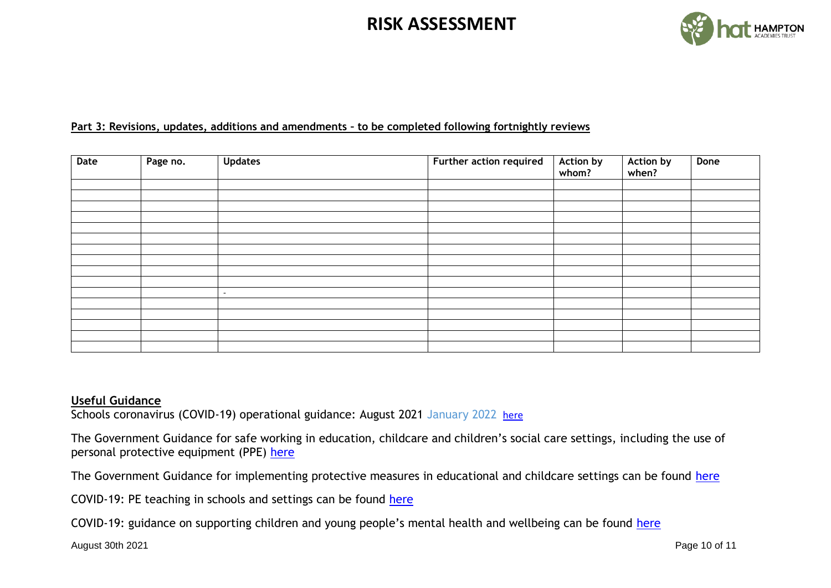

#### **Part 3: Revisions, updates, additions and amendments – to be completed following fortnightly reviews**

| Date | Page no. | <b>Updates</b> | Further action required | Action by<br>whom? | Action by<br>when? | Done |
|------|----------|----------------|-------------------------|--------------------|--------------------|------|
|      |          |                |                         |                    |                    |      |
|      |          |                |                         |                    |                    |      |
|      |          |                |                         |                    |                    |      |
|      |          |                |                         |                    |                    |      |
|      |          |                |                         |                    |                    |      |
|      |          |                |                         |                    |                    |      |
|      |          |                |                         |                    |                    |      |
|      |          |                |                         |                    |                    |      |
|      |          |                |                         |                    |                    |      |
|      |          |                |                         |                    |                    |      |
|      |          | $\sim$         |                         |                    |                    |      |
|      |          |                |                         |                    |                    |      |
|      |          |                |                         |                    |                    |      |
|      |          |                |                         |                    |                    |      |
|      |          |                |                         |                    |                    |      |
|      |          |                |                         |                    |                    |      |

#### **Useful Guidance**

Schools coronavirus (COVID-19) operational guidance: August 2021 January 2022 [here](https://www.gov.uk/government/publications/actions-for-schools-during-the-coronavirus-outbreak/schools-covid-19-operational-guidance)

The Government Guidance for safe working in education, childcare and children's social care settings, including the use of personal protective equipment (PPE) [here](https://www.gov.uk/government/publications/safe-working-in-education-childcare-and-childrens-social-care/safe-working-in-education-childcare-and-childrens-social-care-settings-including-the-use-of-personal-protective-equipment-ppe)

The Government Guidance for implementing protective measures in educational and childcare settings can be found [here](https://www.gov.uk/government/publications/coronavirus-covid-19-implementing-protective-measures-in-education-and-childcare-settings/coronavirus-covid-19-implementing-protective-measures-in-education-and-childcare-settings#class-or-group-sizes)

COVID-19: PE teaching in schools and settings can be found [here](https://www.cambslearntogether.co.uk/asset-library/Corona-Virus-Schools/PE-Covid-Guidance.pdf)

COVID-19: guidance on supporting children and young people's mental health and wellbeing can be found [here](https://www.gov.uk/government/publications/covid-19-guidance-on-supporting-children-and-young-peoples-mental-health-and-wellbeing)

August 30th 2021 Page 10 of 11